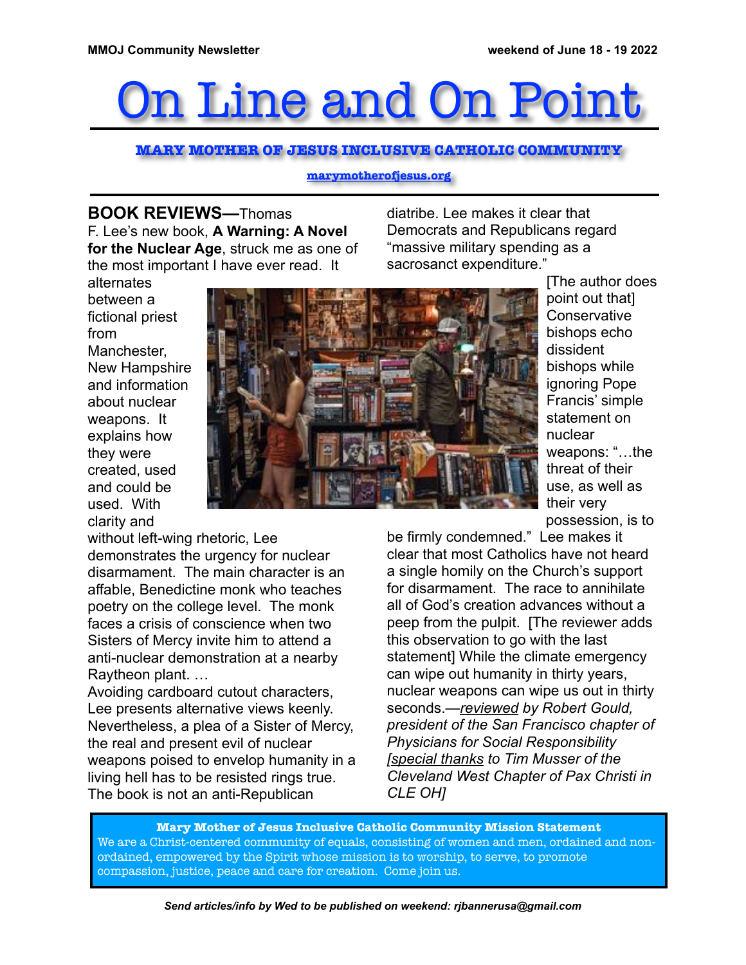## n Line and On Poi

**MARY MOTHER OF JESUS INCLUSIVE CATHOLIC COMMUNITY**

## **[marymotherofjesus.org](http://marymotherofjesus.org)**

**BOOK REVIEWS—**Thomas F. Lee's new book, **A Warning: A Novel for the Nuclear Age**, struck me as one of the most important I have ever read. It

diatribe. Lee makes it clear that Democrats and Republicans regard "massive military spending as a sacrosanct expenditure."





[The author does point out that] **Conservative** bishops echo dissident bishops while ignoring Pope Francis' simple statement on nuclear weapons: "…the threat of their use, as well as their very possession, is to

without left-wing rhetoric, Lee demonstrates the urgency for nuclear disarmament. The main character is an affable, Benedictine monk who teaches poetry on the college level. The monk faces a crisis of conscience when two Sisters of Mercy invite him to attend a anti-nuclear demonstration at a nearby Raytheon plant. …

Avoiding cardboard cutout characters, Lee presents alternative views keenly. Nevertheless, a plea of a Sister of Mercy, the real and present evil of nuclear weapons poised to envelop humanity in a living hell has to be resisted rings true. The book is not an anti-Republican

be firmly condemned." Lee makes it clear that most Catholics have not heard a single homily on the Church's support for disarmament. The race to annihilate all of God's creation advances without a peep from the pulpit. [The reviewer adds this observation to go with the last statement] While the climate emergency can wipe out humanity in thirty years, nuclear weapons can wipe us out in thirty seconds.*—reviewed by Robert Gould, president of the San Francisco chapter of Physicians for Social Responsibility [special thanks to Tim Musser of the Cleveland West Chapter of Pax Christi in CLE OH]*

**Mary Mother of Jesus Inclusive Catholic Community Mission Statement** We are a Christ-centered community of equals, consisting of women and men, ordained and nonordained, empowered by the Spirit whose mission is to worship, to serve, to promote compassion, justice, peace and care for creation. Come join us.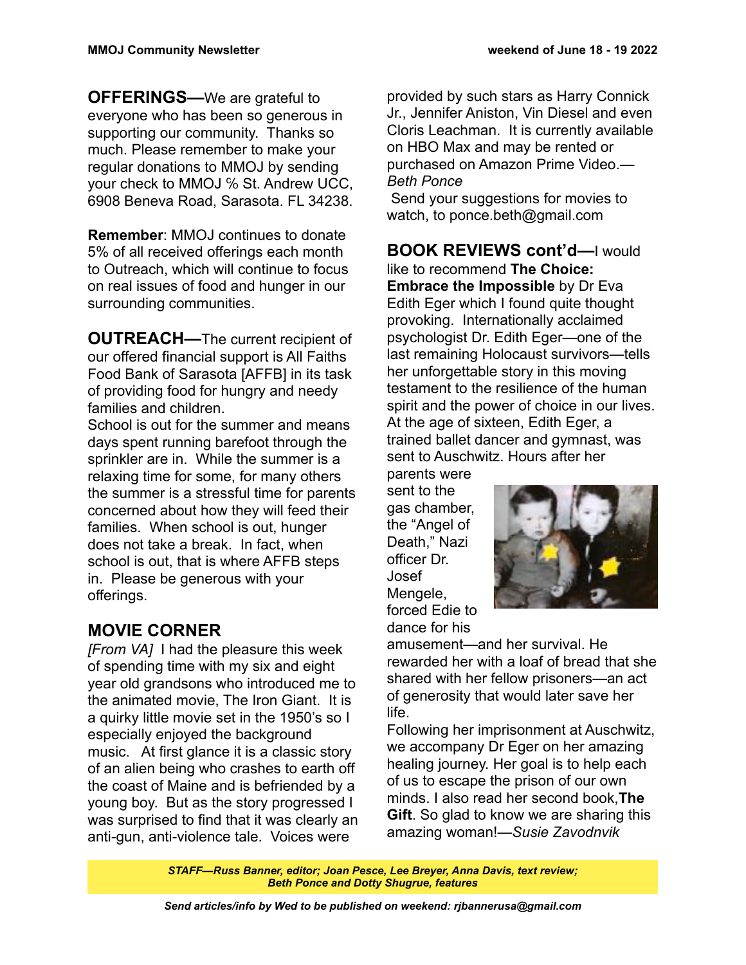**OFFERINGS—**We are grateful to everyone who has been so generous in supporting our community. Thanks so much. Please remember to make your regular donations to MMOJ by sending your check to MMOJ ℅ St. Andrew UCC, 6908 Beneva Road, Sarasota. FL 34238.

**Remember**: MMOJ continues to donate 5% of all received offerings each month to Outreach, which will continue to focus on real issues of food and hunger in our surrounding communities.

**OUTREACH—**The current recipient of our offered financial support is All Faiths Food Bank of Sarasota [AFFB] in its task of providing food for hungry and needy families and children.

School is out for the summer and means days spent running barefoot through the sprinkler are in. While the summer is a relaxing time for some, for many others the summer is a stressful time for parents concerned about how they will feed their families. When school is out, hunger does not take a break. In fact, when school is out, that is where AFFB steps in. Please be generous with your offerings.

## **MOVIE CORNER**

*[From VA]* I had the pleasure this week of spending time with my six and eight year old grandsons who introduced me to the animated movie, The Iron Giant. It is a quirky little movie set in the 1950's so I especially enjoyed the background music. At first glance it is a classic story of an alien being who crashes to earth off the coast of Maine and is befriended by a young boy. But as the story progressed I was surprised to find that it was clearly an anti-gun, anti-violence tale. Voices were

provided by such stars as Harry Connick Jr., Jennifer Aniston, Vin Diesel and even Cloris Leachman. It is currently available on HBO Max and may be rented or purchased on Amazon Prime Video.*— Beth Ponce*

 Send your suggestions for movies to watch, to ponce.beth@gmail.com

**BOOK REVIEWS cont'd—**I would like to recommend **The Choice: Embrace the Impossible** by Dr Eva Edith Eger which I found quite thought provoking. Internationally acclaimed psychologist Dr. Edith Eger—one of the last remaining Holocaust survivors—tells her unforgettable story in this moving testament to the resilience of the human spirit and the power of choice in our lives. At the age of sixteen, Edith Eger, a trained ballet dancer and gymnast, was sent to Auschwitz. Hours after her

parents were sent to the gas chamber, the "Angel of Death," Nazi officer Dr. Josef Mengele, forced Edie to dance for his



amusement—and her survival. He rewarded her with a loaf of bread that she shared with her fellow prisoners—an act of generosity that would later save her life.

Following her imprisonment at Auschwitz, we accompany Dr Eger on her amazing healing journey. Her goal is to help each of us to escape the prison of our own minds. I also read her second book,**The Gift**. So glad to know we are sharing this amazing woman!*—Susie Zavodnvik*

*STAFF—Russ Banner, editor; Joan Pesce, Lee Breyer, Anna Davis, text review; Beth Ponce and Dotty Shugrue, features*